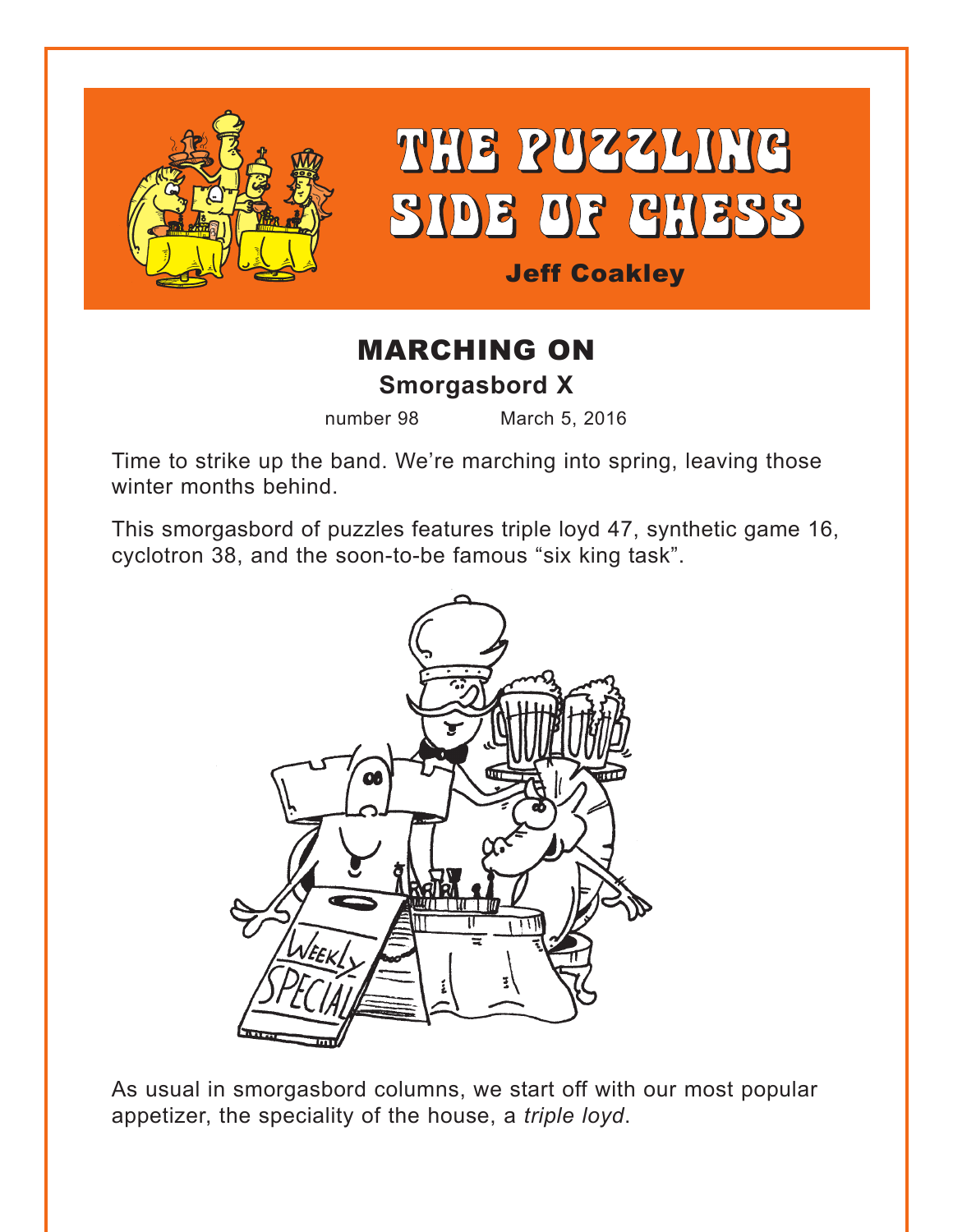

# THE PUZZLING SIDE OF CHESS

### Jeff Coakley

## MARCHING ON **Smorgasbord X**

number 98 March 5, 2016

Time to strike up the band. We're marching into spring, leaving those winter months behind.

This smorgasbord of puzzles features triple loyd 47, synthetic game 16, cyclotron 38, and the soon-to-be famous "six king task".



As usual in smorgasbord columns, we start off with our most popular appetizer, the speciality of the house, a *triple loyd*.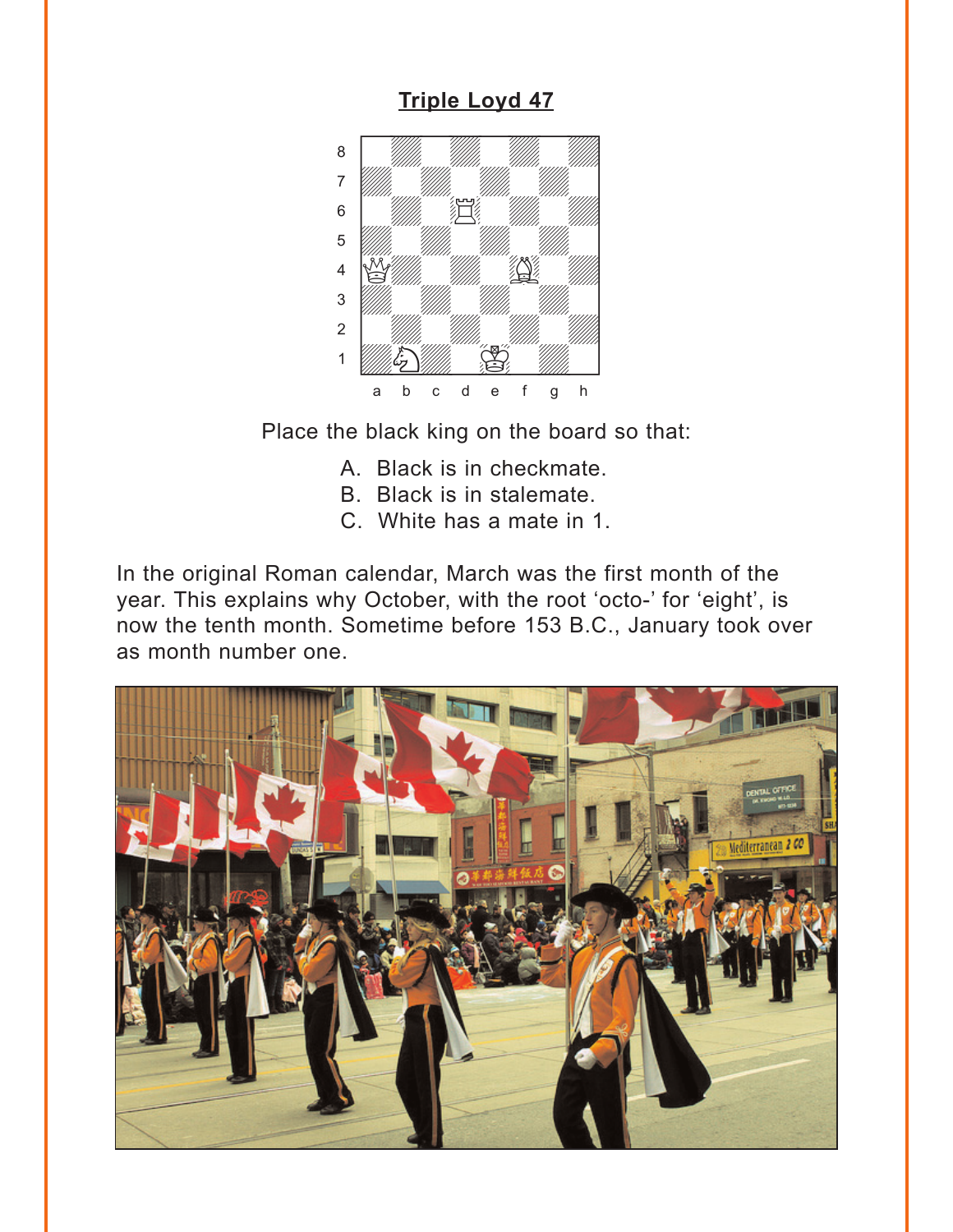#### **Triple Loyd 47**

<span id="page-1-0"></span>

Place the black king on the board so that:

- A. Black is in checkmate.
- B. Black is in stalemate.
- C. White has a mate in 1.

In the original Roman calendar, March was the first month of the year. This explains why October, with the root 'octo-' for 'eight', is now the tenth month. Sometime before 153 B.C., January took over as month number one.

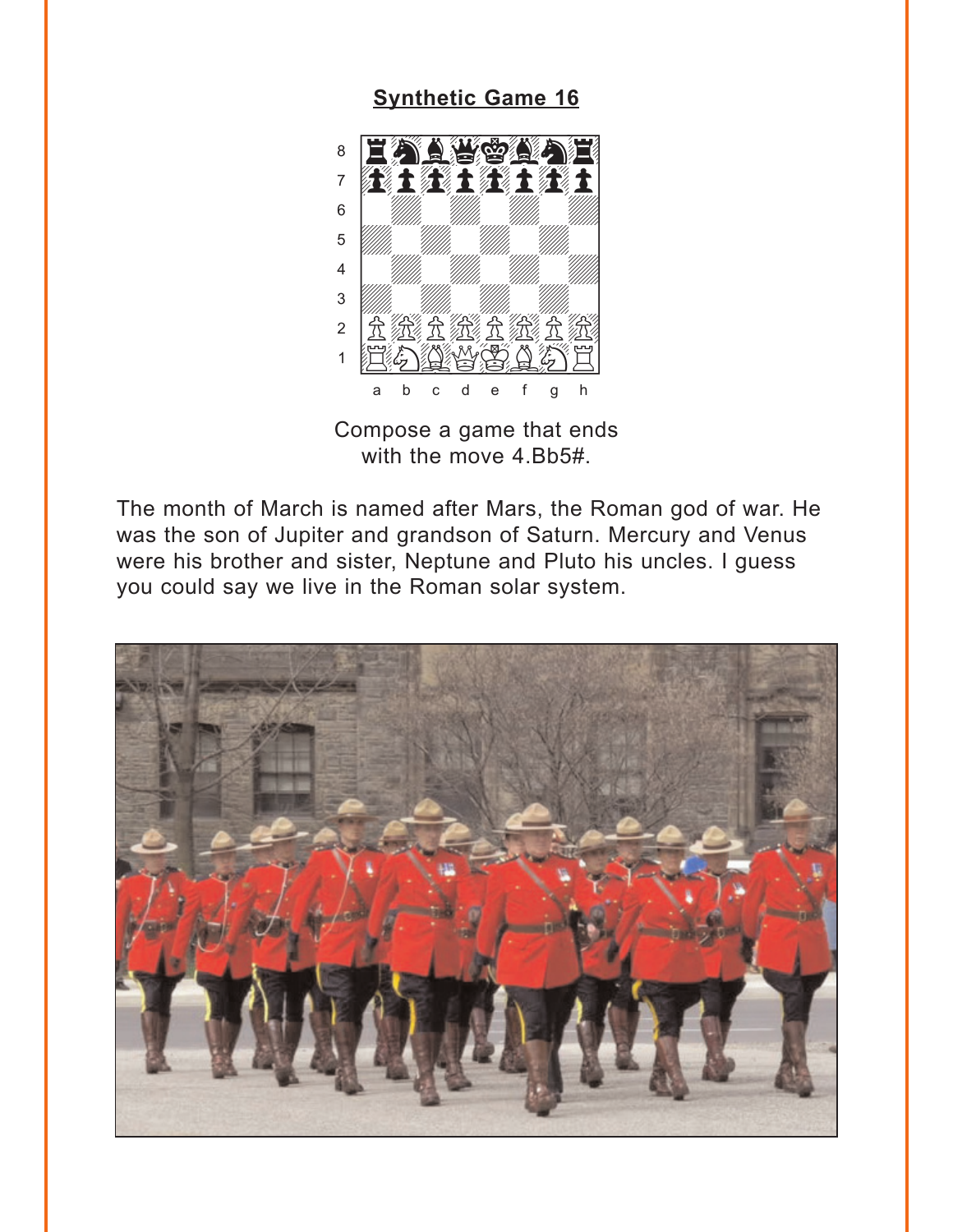#### **Synthetic Game 16**

<span id="page-2-0"></span>

Compose a game that ends with the move 4.Bb5#.

The month of March is named after Mars, the Roman god of war. He was the son of Jupiter and grandson of Saturn. Mercury and Venus were his brother and sister, Neptune and Pluto his uncles. I guess you could say we live in the Roman solar system.

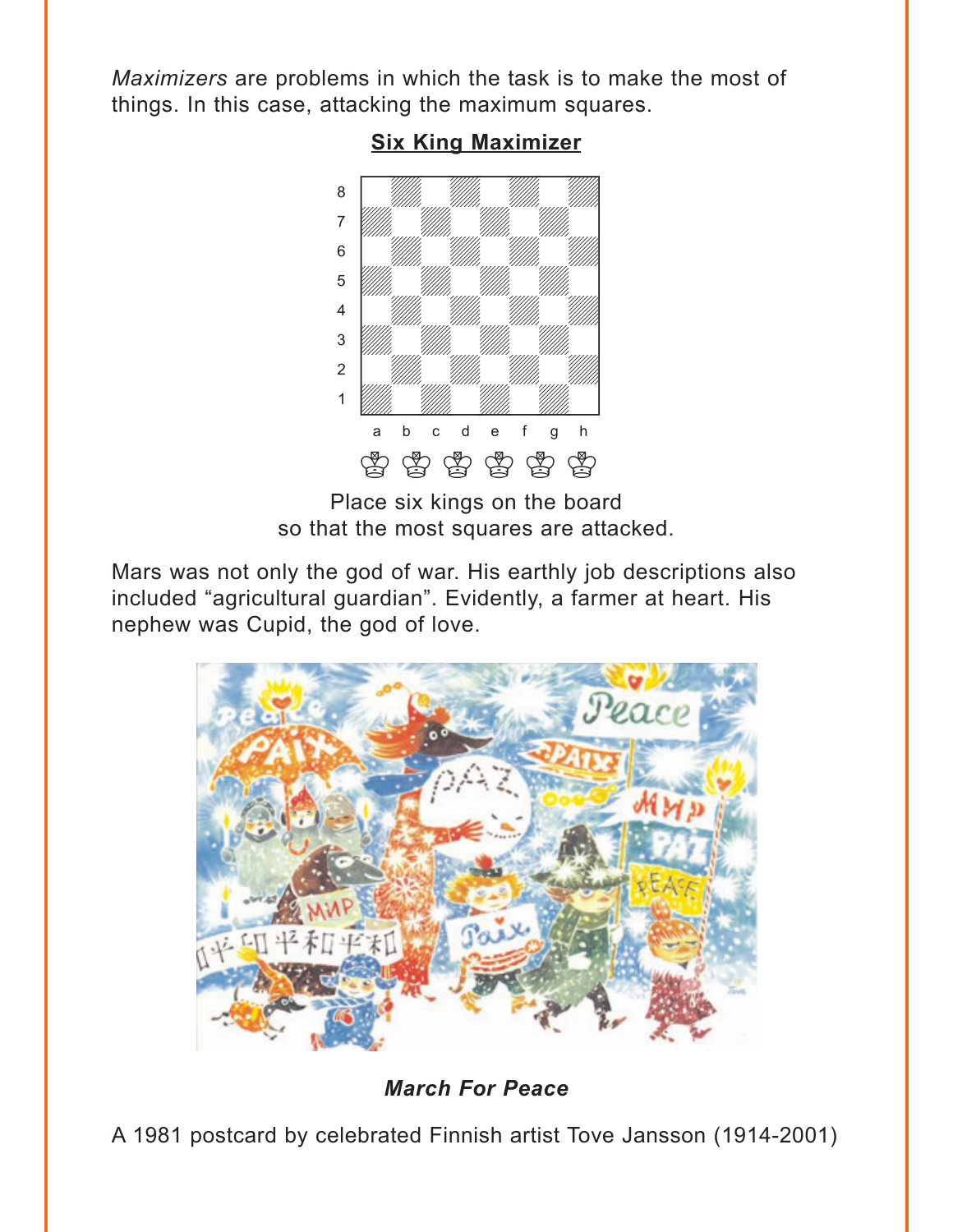<span id="page-3-0"></span>*Maximizers* are problems in which the task is to make the most of things. In this case, attacking the maximum squares.



#### **[Six King Maximizer](#page-6-0)**

Place six kings on the board so that the most squares are attacked.

Mars was not only the god of war. His earthly job descriptions also included "agricultural guardian". Evidently, a farmer at heart. His nephew was Cupid, the god of love.



*March For Peace*

A 1981 postcard by celebrated Finnish artist Tove Jansson (1914-2001)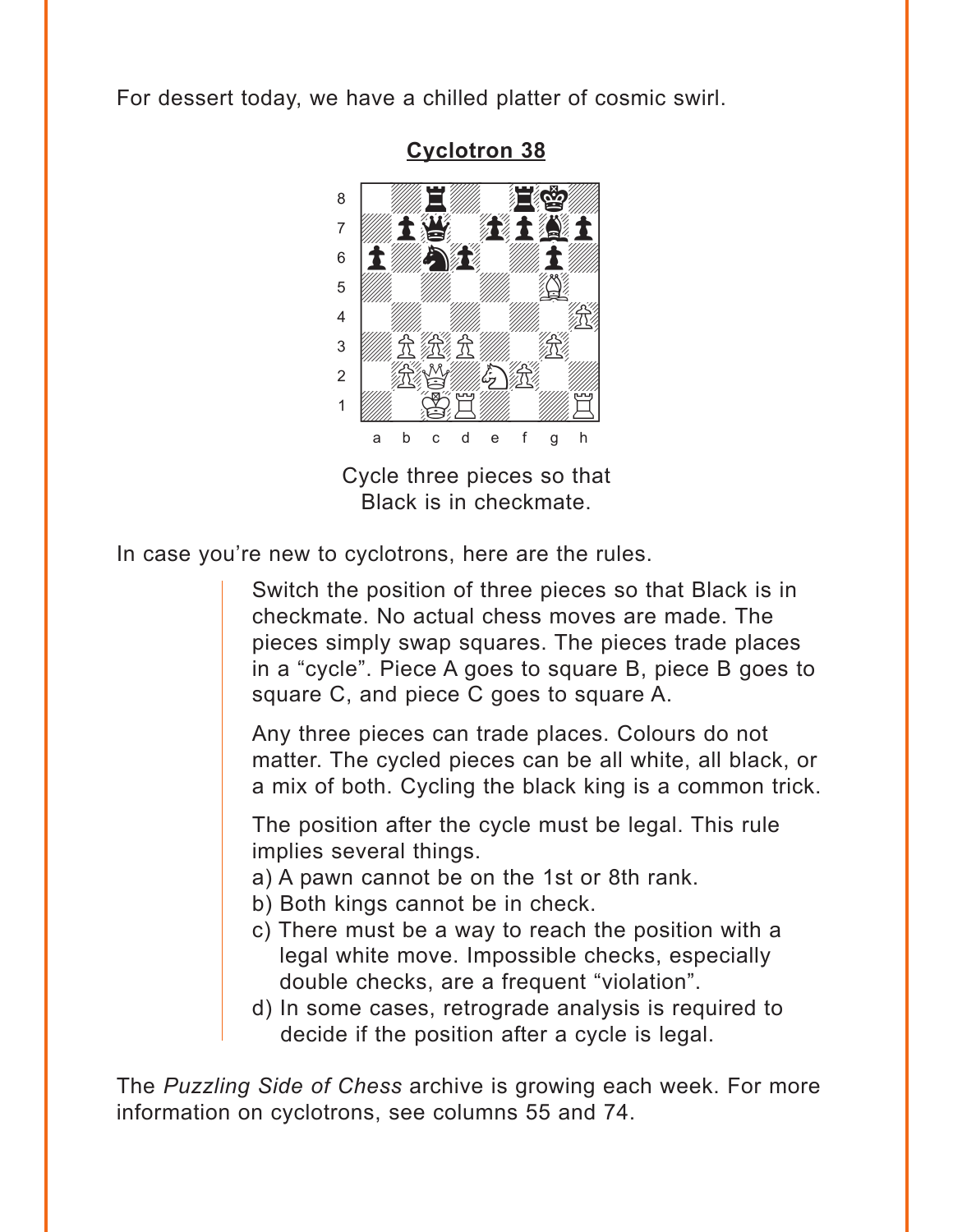<span id="page-4-0"></span>For dessert today, we have a chilled platter of cosmic swirl.



**[Cyclotron 38](#page-7-0)**

Cycle three pieces so that Black is in checkmate.

In case you're new to cyclotrons, here are the rules.

Switch the position of three pieces so that Black is in checkmate. No actual chess moves are made. The pieces simply swap squares. The pieces trade places in a "cycle". Piece A goes to square B, piece B goes to square C, and piece C goes to square A.

Any three pieces can trade places. Colours do not matter. The cycled pieces can be all white, all black, or a mix of both. Cycling the black king is a common trick.

The position after the cycle must be legal. This rule implies several things.

- a) A pawn cannot be on the 1st or 8th rank.
- b) Both kings cannot be in check.
- c) There must be a way to reach the position with a legal white move. Impossible checks, especially double checks, are a frequent "violation".
- d) In some cases, retrograde analysis is required to decide if the position after a cycle is legal.

The *Puzzling Side of Chess* archive is growing each week. For more information on cyclotrons, see columns 55 and 74.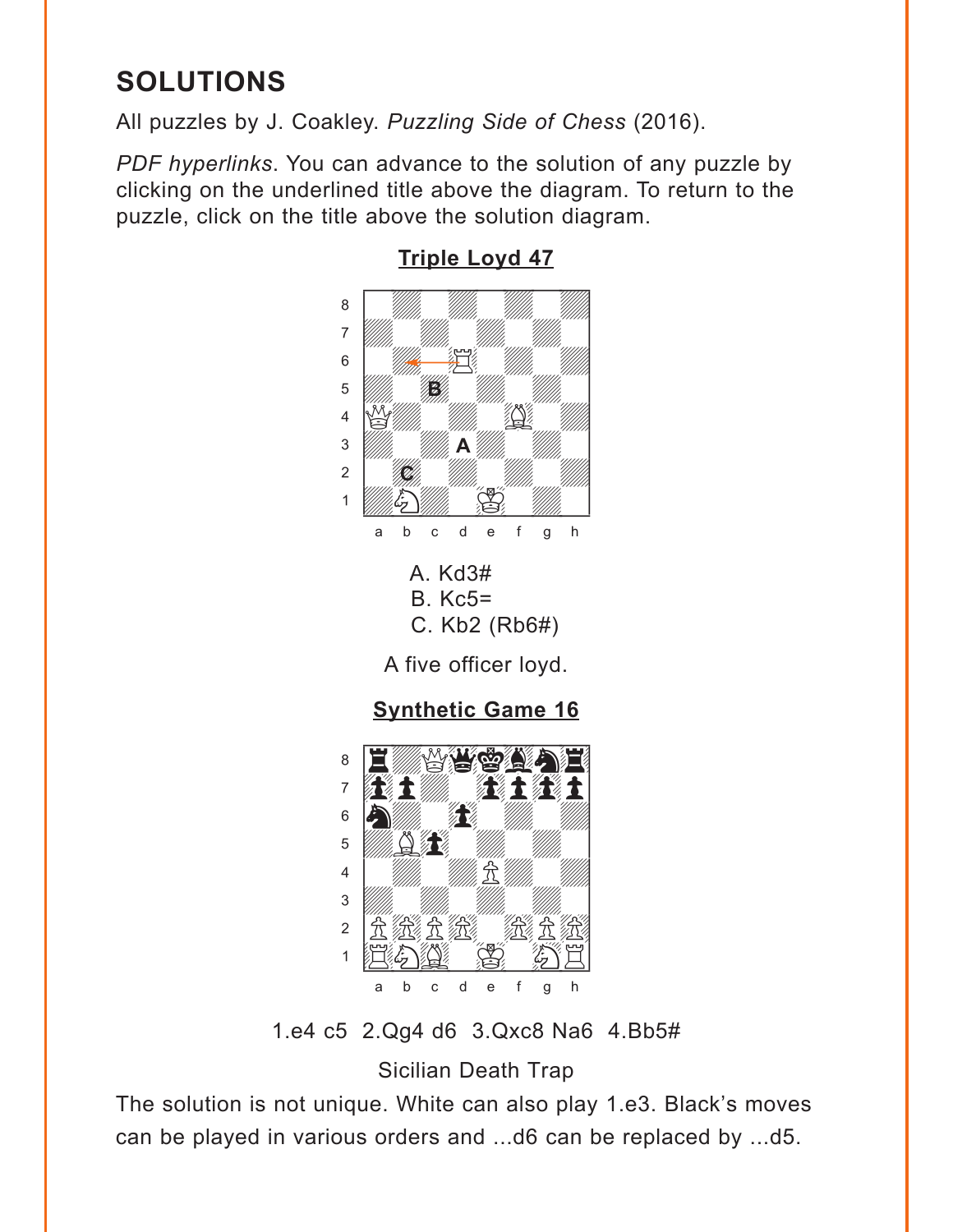## <span id="page-5-0"></span>**SOLUTIONS**

All puzzles by J. Coakley. Puzzling Side of Chess (2016).

PDF hyperlinks. You can advance to the solution of any puzzle by clicking on the underlined title above the diagram. To return to the puzzle, click on the title above the solution diagram.



**Triple Loyd 47** 

1.e4 c5 2.Qg4 d6 3.Qxc8 Na6 4.Bb5#

d e

 $f$  $\mathbf g$  $h$ 

 $\mathsf b$  $\,$  C

a

**Sicilian Death Trap** 

The solution is not unique. White can also play 1.e3. Black's moves can be played in various orders and ...d6 can be replaced by ...d5.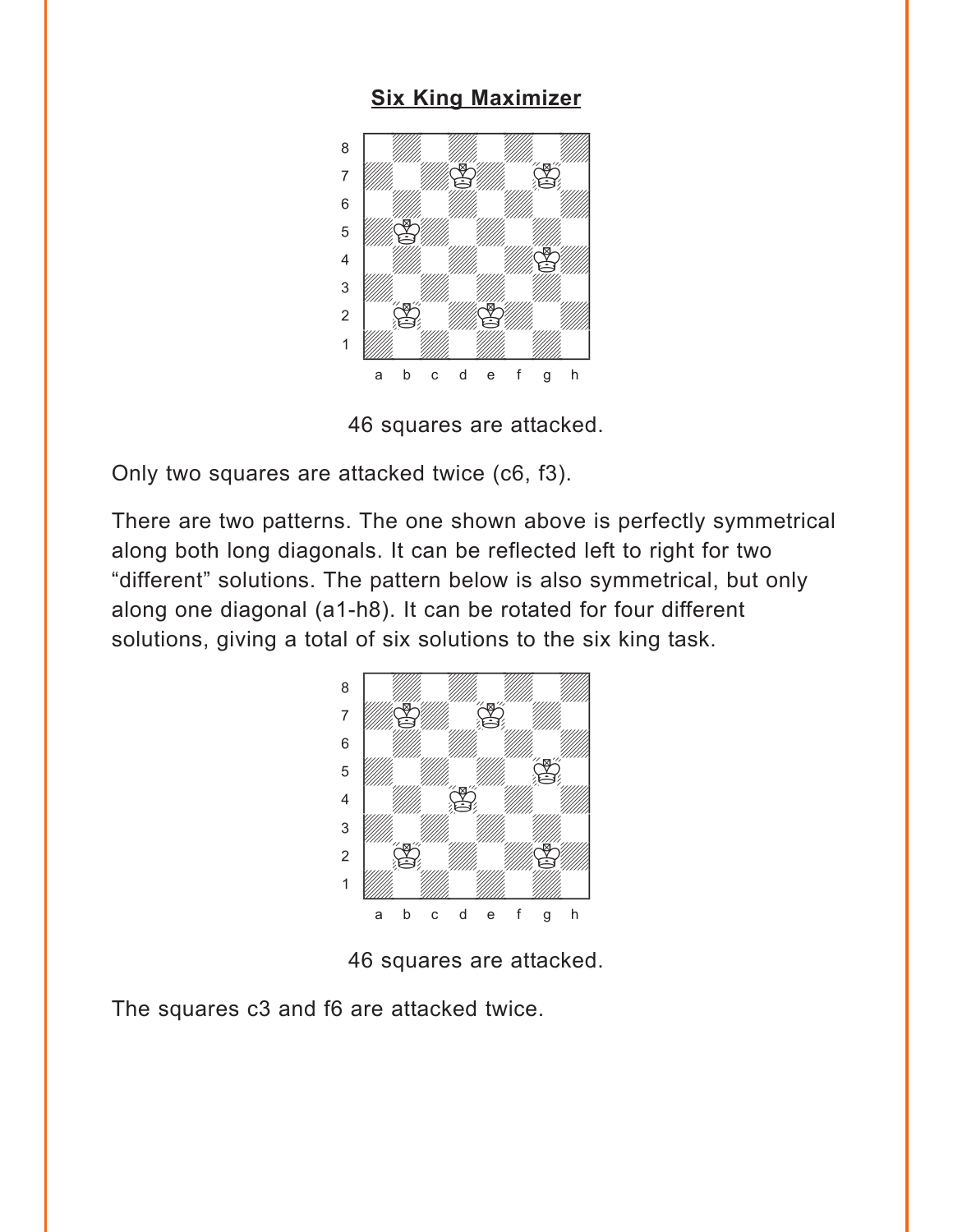#### **[Six King Maximizer](#page-3-0)**

<span id="page-6-0"></span>

46 squares are attacked.

Only two squares are attacked twice (c6, f3).

There are two patterns. The one shown above is perfectly symmetrical along both long diagonals. It can be reflected left to right for two "different" solutions. The pattern below is also symmetrical, but only along one diagonal (a1-h8). It can be rotated for four different solutions, giving a total of six solutions to the six king task.



46 squares are attacked.

The squares c3 and f6 are attacked twice.